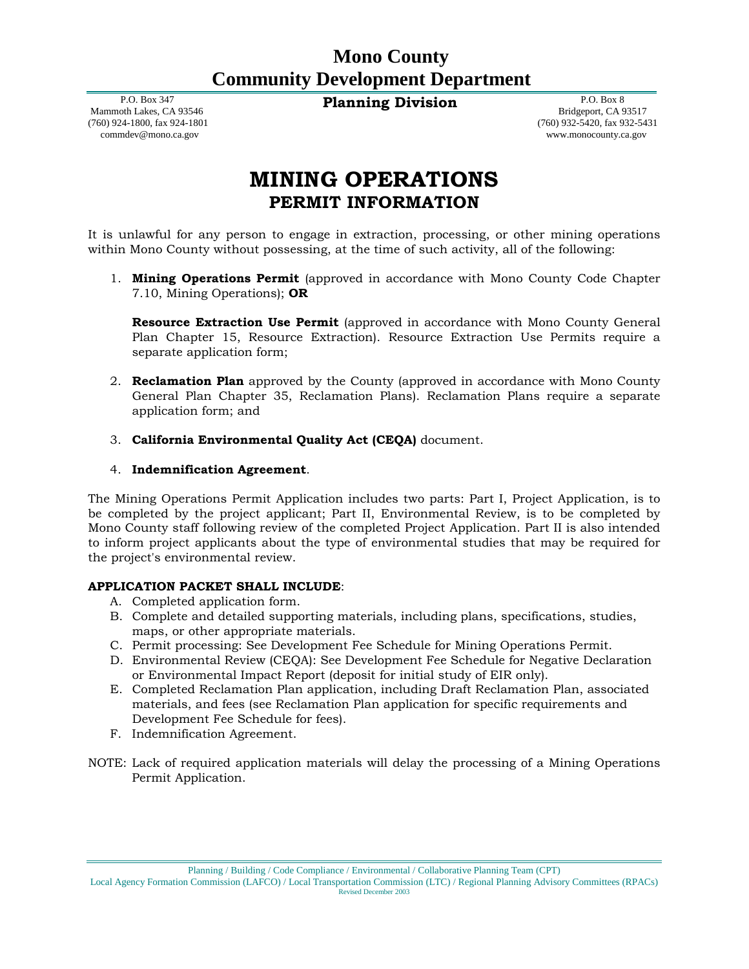# **Mono County Community Development Department**

**Planning Division** P.O. Box 8

 P.O. Box 347 Mammoth Lakes, CA 93546 (760) 924-1800, fax 924-1801 commdev@mono.ca.gov

 Bridgeport, CA 93517 (760) 932-5420, fax 932-5431 www.monocounty.ca.gov

# **MINING OPERATIONS PERMIT INFORMATION**

It is unlawful for any person to engage in extraction, processing, or other mining operations within Mono County without possessing, at the time of such activity, all of the following:

1. **Mining Operations Permit** (approved in accordance with Mono County Code Chapter 7.10, Mining Operations); **OR**

**Resource Extraction Use Permit** (approved in accordance with Mono County General Plan Chapter 15, Resource Extraction). Resource Extraction Use Permits require a separate application form;

- 2. **Reclamation Plan** approved by the County (approved in accordance with Mono County General Plan Chapter 35, Reclamation Plans). Reclamation Plans require a separate application form; and
- 3. **California Environmental Quality Act (CEQA)** document.

# 4. **Indemnification Agreement**.

The Mining Operations Permit Application includes two parts: Part I, Project Application, is to be completed by the project applicant; Part II, Environmental Review, is to be completed by Mono County staff following review of the completed Project Application. Part II is also intended to inform project applicants about the type of environmental studies that may be required for the project's environmental review.

### **APPLICATION PACKET SHALL INCLUDE**:

- A. Completed application form.
- B. Complete and detailed supporting materials, including plans, specifications, studies, maps, or other appropriate materials.
- C. Permit processing: See Development Fee Schedule for Mining Operations Permit.
- D. Environmental Review (CEQA): See Development Fee Schedule for Negative Declaration or Environmental Impact Report (deposit for initial study of EIR only).
- E. Completed Reclamation Plan application, including Draft Reclamation Plan, associated materials, and fees (see Reclamation Plan application for specific requirements and Development Fee Schedule for fees).
- F. Indemnification Agreement.
- NOTE: Lack of required application materials will delay the processing of a Mining Operations Permit Application.

Planning / Building / Code Compliance / Environmental / Collaborative Planning Team (CPT)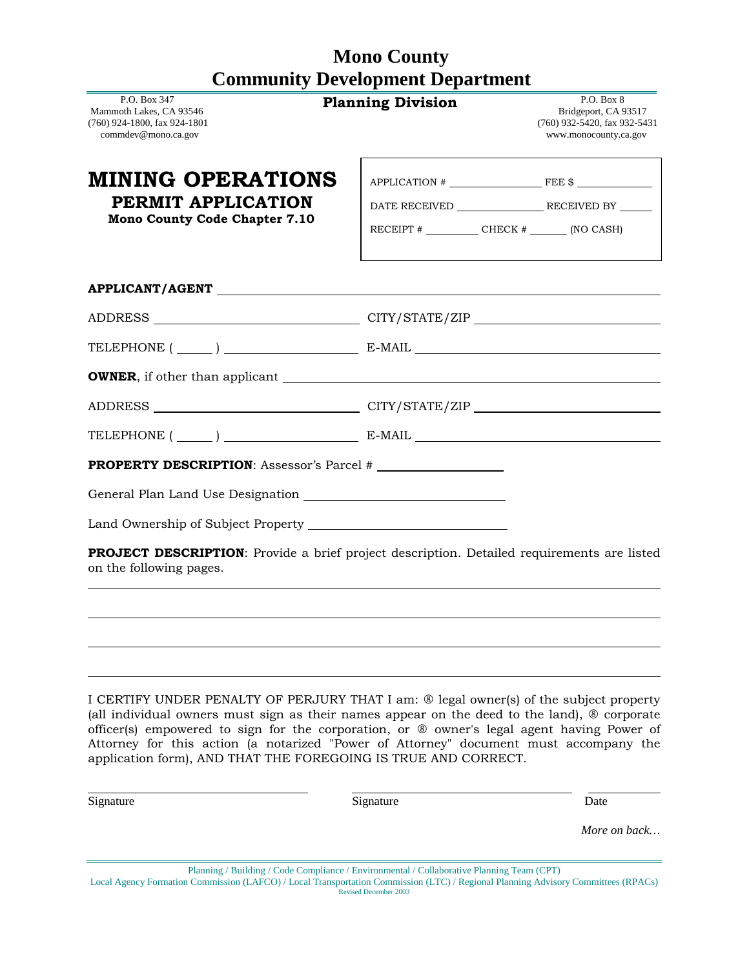# **Mono County Community Development Department**

| P.O. Box 347<br>Mammoth Lakes, CA 93546<br>(760) 924-1800, fax 924-1801<br>commdev@mono.ca.gov | <b>Planning Division</b>                                                                                                                                                                                                                                                                                                                                                                                                                        | P.O. Box 8<br>Bridgeport, CA 93517<br>(760) 932-5420, fax 932-5431<br>www.monocounty.ca.gov |
|------------------------------------------------------------------------------------------------|-------------------------------------------------------------------------------------------------------------------------------------------------------------------------------------------------------------------------------------------------------------------------------------------------------------------------------------------------------------------------------------------------------------------------------------------------|---------------------------------------------------------------------------------------------|
| MINING OPERATIONS                                                                              |                                                                                                                                                                                                                                                                                                                                                                                                                                                 | $APPLICATION # \n$                                                                          |
| PERMIT APPLICATION                                                                             |                                                                                                                                                                                                                                                                                                                                                                                                                                                 |                                                                                             |
| <b>Mono County Code Chapter 7.10</b>                                                           |                                                                                                                                                                                                                                                                                                                                                                                                                                                 | RECEIPT $\#$ CHECK $\#$ (NO CASH)                                                           |
|                                                                                                |                                                                                                                                                                                                                                                                                                                                                                                                                                                 |                                                                                             |
|                                                                                                | ADDRESS __________________________________CITY/STATE/ZIP _______________________                                                                                                                                                                                                                                                                                                                                                                |                                                                                             |
|                                                                                                | TELEPHONE $(\_\_)$ $\_\_$ E-MAIL $\_\_$                                                                                                                                                                                                                                                                                                                                                                                                         |                                                                                             |
|                                                                                                |                                                                                                                                                                                                                                                                                                                                                                                                                                                 |                                                                                             |
|                                                                                                | ADDRESS __________________________________CITY/STATE/ZIP _______________________                                                                                                                                                                                                                                                                                                                                                                |                                                                                             |
|                                                                                                | TELEPHONE $(\_\_)$ $\_\_$ E-MAIL $\_\_$                                                                                                                                                                                                                                                                                                                                                                                                         |                                                                                             |
|                                                                                                | <b>PROPERTY DESCRIPTION:</b> Assessor's Parcel #                                                                                                                                                                                                                                                                                                                                                                                                |                                                                                             |
|                                                                                                |                                                                                                                                                                                                                                                                                                                                                                                                                                                 |                                                                                             |
|                                                                                                |                                                                                                                                                                                                                                                                                                                                                                                                                                                 |                                                                                             |
| on the following pages.                                                                        | PROJECT DESCRIPTION: Provide a brief project description. Detailed requirements are listed                                                                                                                                                                                                                                                                                                                                                      |                                                                                             |
|                                                                                                |                                                                                                                                                                                                                                                                                                                                                                                                                                                 |                                                                                             |
|                                                                                                | I CERTIFY UNDER PENALTY OF PERJURY THAT I am: ® legal owner(s) of the subject property<br>(all individual owners must sign as their names appear on the deed to the land), ® corporate<br>officer(s) empowered to sign for the corporation, or ® owner's legal agent having Power of<br>Attorney for this action (a notarized "Power of Attorney" document must accompany the<br>application form), AND THAT THE FOREGOING IS TRUE AND CORRECT. |                                                                                             |
| Signature                                                                                      | Signature                                                                                                                                                                                                                                                                                                                                                                                                                                       | Date                                                                                        |

Planning / Building / Code Compliance / Environmental / Collaborative Planning Team (CPT) Local Agency Formation Commission (LAFCO) / Local Transportation Commission (LTC) / Regional Planning Advisory Committees (RPACs) Revised December 2003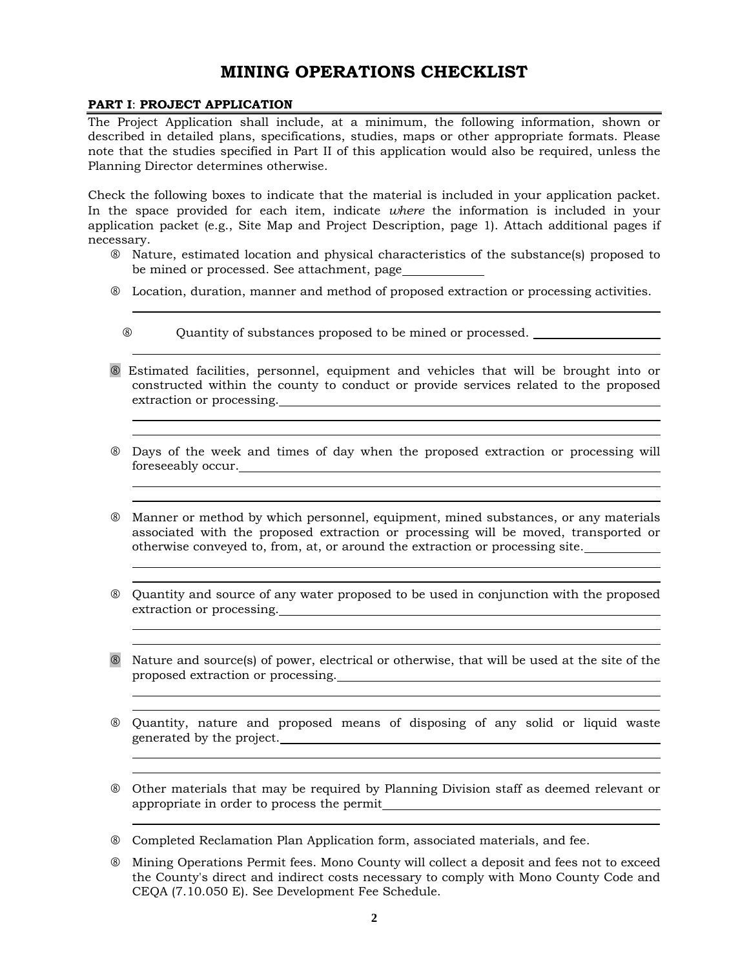# **MINING OPERATIONS CHECKLIST**

# **PART I**: **PROJECT APPLICATION**

The Project Application shall include, at a minimum, the following information, shown or described in detailed plans, specifications, studies, maps or other appropriate formats. Please note that the studies specified in Part II of this application would also be required, unless the Planning Director determines otherwise.

Check the following boxes to indicate that the material is included in your application packet. In the space provided for each item, indicate *where* the information is included in your application packet (e.g., Site Map and Project Description, page 1). Attach additional pages if necessary.

- Nature, estimated location and physical characteristics of the substance(s) proposed to be mined or processed. See attachment, page
- Location, duration, manner and method of proposed extraction or processing activities.
	- Quantity of substances proposed to be mined or processed.
- Estimated facilities, personnel, equipment and vehicles that will be brought into or constructed within the county to conduct or provide services related to the proposed extraction or processing.<br>
<u>Extraction or processing</u>.<br>
<u>Extraction or processing.</u>
- Days of the week and times of day when the proposed extraction or processing will foreseeably occur.

<u> 1989 - Johann Stoff, amerikansk politiker (\* 1908)</u>

- Manner or method by which personnel, equipment, mined substances, or any materials associated with the proposed extraction or processing will be moved, transported or otherwise conveyed to, from, at, or around the extraction or processing site.
- Quantity and source of any water proposed to be used in conjunction with the proposed extraction or processing.
- Nature and source(s) of power, electrical or otherwise, that will be used at the site of the proposed extraction or processing.

<u> 1989 - Johann Stoff, fransk politik (f. 1989)</u>

- Quantity, nature and proposed means of disposing of any solid or liquid waste generated by the project.
- Other materials that may be required by Planning Division staff as deemed relevant or appropriate in order to process the permit

 $\overline{a}$ 

Completed Reclamation Plan Application form, associated materials, and fee.

 Mining Operations Permit fees. Mono County will collect a deposit and fees not to exceed the County's direct and indirect costs necessary to comply with Mono County Code and CEQA (7.10.050 E). See Development Fee Schedule.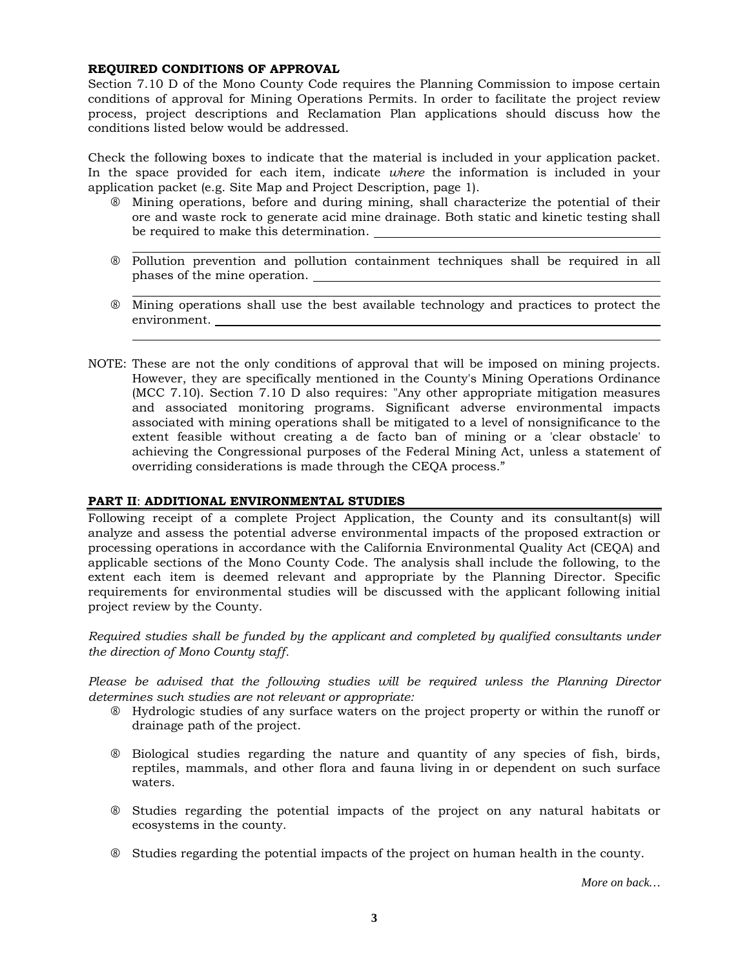# **REQUIRED CONDITIONS OF APPROVAL**

Section 7.10 D of the Mono County Code requires the Planning Commission to impose certain conditions of approval for Mining Operations Permits. In order to facilitate the project review process, project descriptions and Reclamation Plan applications should discuss how the conditions listed below would be addressed.

Check the following boxes to indicate that the material is included in your application packet. In the space provided for each item, indicate *where* the information is included in your application packet (e.g. Site Map and Project Description, page 1).

- Mining operations, before and during mining, shall characterize the potential of their ore and waste rock to generate acid mine drainage. Both static and kinetic testing shall be required to make this determination.
- Pollution prevention and pollution containment techniques shall be required in all phases of the mine operation.
- Mining operations shall use the best available technology and practices to protect the environment.
- NOTE: These are not the only conditions of approval that will be imposed on mining projects. However, they are specifically mentioned in the County's Mining Operations Ordinance (MCC 7.10). Section 7.10 D also requires: "Any other appropriate mitigation measures and associated monitoring programs. Significant adverse environmental impacts associated with mining operations shall be mitigated to a level of nonsignificance to the extent feasible without creating a de facto ban of mining or a 'clear obstacle' to achieving the Congressional purposes of the Federal Mining Act, unless a statement of overriding considerations is made through the CEQA process."

### **PART II**: **ADDITIONAL ENVIRONMENTAL STUDIES**

Following receipt of a complete Project Application, the County and its consultant(s) will analyze and assess the potential adverse environmental impacts of the proposed extraction or processing operations in accordance with the California Environmental Quality Act (CEQA) and applicable sections of the Mono County Code. The analysis shall include the following, to the extent each item is deemed relevant and appropriate by the Planning Director. Specific requirements for environmental studies will be discussed with the applicant following initial project review by the County.

*Required studies shall be funded by the applicant and completed by qualified consultants under the direction of Mono County staff.* 

*Please be advised that the following studies will be required unless the Planning Director determines such studies are not relevant or appropriate:* 

- Hydrologic studies of any surface waters on the project property or within the runoff or drainage path of the project.
- Biological studies regarding the nature and quantity of any species of fish, birds, reptiles, mammals, and other flora and fauna living in or dependent on such surface waters.
- Studies regarding the potential impacts of the project on any natural habitats or ecosystems in the county.
- Studies regarding the potential impacts of the project on human health in the county.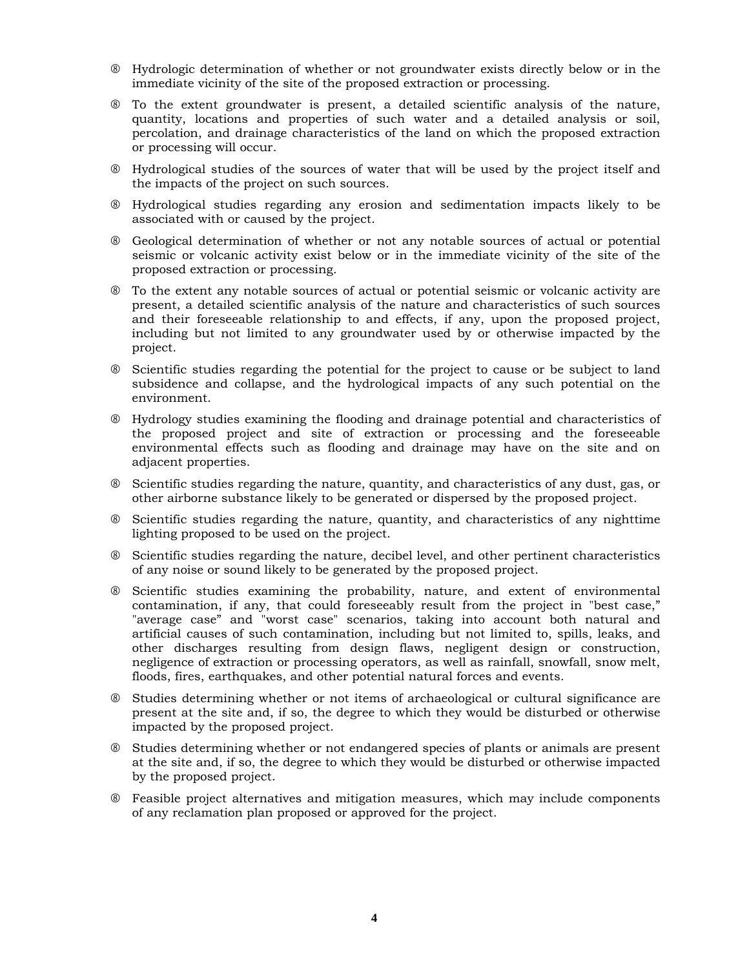- Hydrologic determination of whether or not groundwater exists directly below or in the immediate vicinity of the site of the proposed extraction or processing.
- To the extent groundwater is present, a detailed scientific analysis of the nature, quantity, locations and properties of such water and a detailed analysis or soil, percolation, and drainage characteristics of the land on which the proposed extraction or processing will occur.
- Hydrological studies of the sources of water that will be used by the project itself and the impacts of the project on such sources.
- Hydrological studies regarding any erosion and sedimentation impacts likely to be associated with or caused by the project.
- Geological determination of whether or not any notable sources of actual or potential seismic or volcanic activity exist below or in the immediate vicinity of the site of the proposed extraction or processing.
- To the extent any notable sources of actual or potential seismic or volcanic activity are present, a detailed scientific analysis of the nature and characteristics of such sources and their foreseeable relationship to and effects, if any, upon the proposed project, including but not limited to any groundwater used by or otherwise impacted by the project.
- Scientific studies regarding the potential for the project to cause or be subject to land subsidence and collapse, and the hydrological impacts of any such potential on the environment.
- Hydrology studies examining the flooding and drainage potential and characteristics of the proposed project and site of extraction or processing and the foreseeable environmental effects such as flooding and drainage may have on the site and on adjacent properties.
- Scientific studies regarding the nature, quantity, and characteristics of any dust, gas, or other airborne substance likely to be generated or dispersed by the proposed project.
- Scientific studies regarding the nature, quantity, and characteristics of any nighttime lighting proposed to be used on the project.
- Scientific studies regarding the nature, decibel level, and other pertinent characteristics of any noise or sound likely to be generated by the proposed project.
- Scientific studies examining the probability, nature, and extent of environmental contamination, if any, that could foreseeably result from the project in "best case," "average case" and "worst case" scenarios, taking into account both natural and artificial causes of such contamination, including but not limited to, spills, leaks, and other discharges resulting from design flaws, negligent design or construction, negligence of extraction or processing operators, as well as rainfall, snowfall, snow melt, floods, fires, earthquakes, and other potential natural forces and events.
- Studies determining whether or not items of archaeological or cultural significance are present at the site and, if so, the degree to which they would be disturbed or otherwise impacted by the proposed project.
- Studies determining whether or not endangered species of plants or animals are present at the site and, if so, the degree to which they would be disturbed or otherwise impacted by the proposed project.
- Feasible project alternatives and mitigation measures, which may include components of any reclamation plan proposed or approved for the project.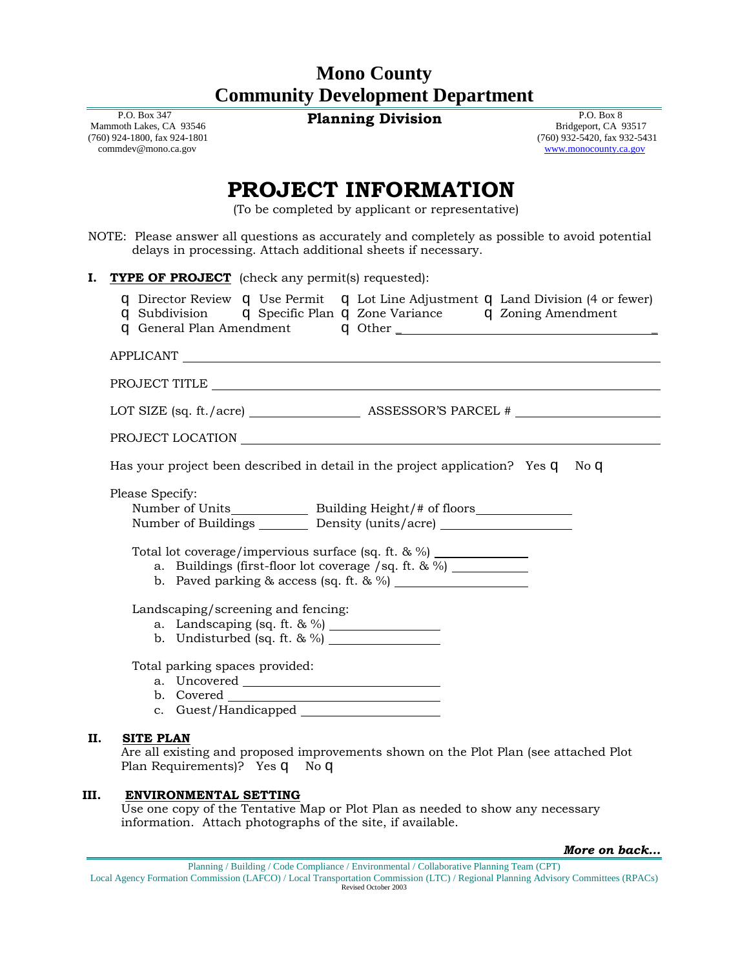# **Mono County Community Development Department**

 P.O. Box 347 Mammoth Lakes, CA 93546 (760) 924-1800, fax 924-1801 commdev@mono.ca.gov

**Planning Division** P.O. Box 8

 Bridgeport, CA 93517 (760) 932-5420, fax 932-5431 [www.monocounty.ca.gov](http://www.monocounty.ca.gov/)

# **PROJECT INFORMATION**

(To be completed by applicant or representative)

NOTE: Please answer all questions as accurately and completely as possible to avoid potential delays in processing. Attach additional sheets if necessary.

| I. | <b>TYPE OF PROJECT</b> (check any permit(s) requested):                                                                                                                                                                                                                                                                                                                                                                   |
|----|---------------------------------------------------------------------------------------------------------------------------------------------------------------------------------------------------------------------------------------------------------------------------------------------------------------------------------------------------------------------------------------------------------------------------|
|    | q Director Review q Use Permit q Lot Line Adjustment q Land Division (4 or fewer)<br>q Subdivision q Specific Plan q Zone Variance q Zoning Amendment                                                                                                                                                                                                                                                                     |
|    | APPLICANT                                                                                                                                                                                                                                                                                                                                                                                                                 |
|    |                                                                                                                                                                                                                                                                                                                                                                                                                           |
|    |                                                                                                                                                                                                                                                                                                                                                                                                                           |
|    |                                                                                                                                                                                                                                                                                                                                                                                                                           |
|    | Has your project been described in detail in the project application? Yes q No q                                                                                                                                                                                                                                                                                                                                          |
|    | Please Specify:<br>Number of Units Building Height/# of floors<br>Number of Buildings ________ Density (units/acre) ______________________________<br>Total lot coverage/impervious surface (sq. ft. & %) ______________<br>a. Buildings (first-floor lot coverage /sq. ft. $\& \%$ )<br>Landscaping/screening and fencing:<br>a. Landscaping (sq. ft. & %) $\frac{1}{2}$<br>b. Undisturbed (sq. ft. $\& \frac{\%}{\%}$ ) |
|    | Total parking spaces provided:                                                                                                                                                                                                                                                                                                                                                                                            |
| П. | <b>SITE PLAN</b><br>Are all existing and proposed improvements shown on the Plot Plan (see attached Plot<br>Plan Requirements)? Yes q No q                                                                                                                                                                                                                                                                                |

### **III. ENVIRONMENTAL SETTING**

Use one copy of the Tentative Map or Plot Plan as needed to show any necessary information. Attach photographs of the site, if available.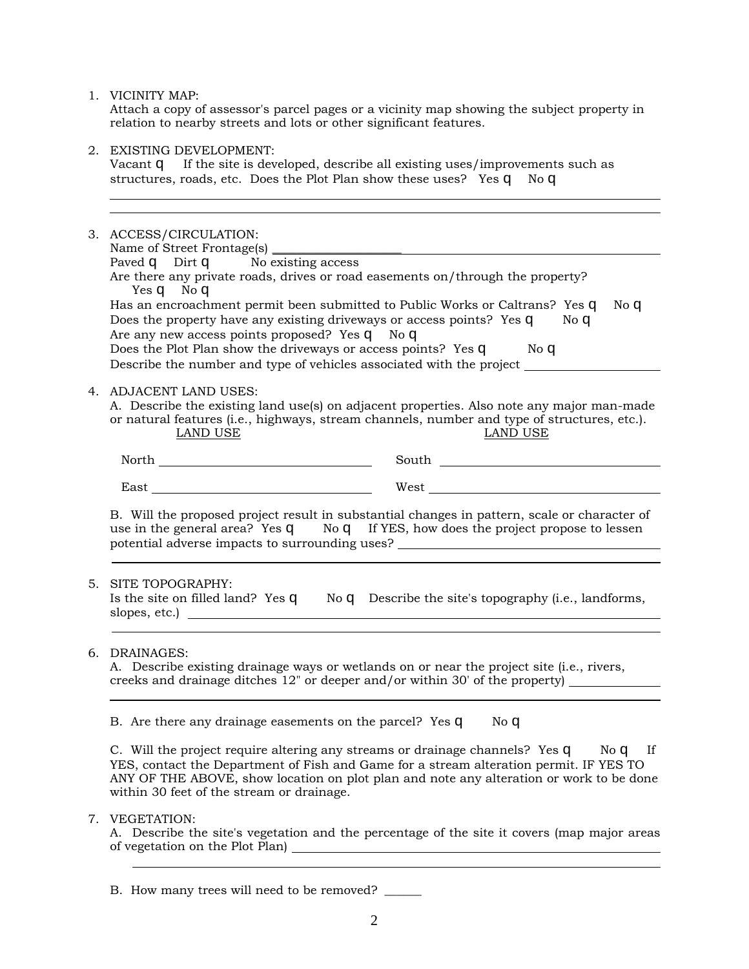|    | 1. VICINITY MAP:<br>Attach a copy of assessor's parcel pages or a vicinity map showing the subject property in<br>relation to nearby streets and lots or other significant features.                                                                                                                                                                                          |
|----|-------------------------------------------------------------------------------------------------------------------------------------------------------------------------------------------------------------------------------------------------------------------------------------------------------------------------------------------------------------------------------|
|    | 2. EXISTING DEVELOPMENT:<br>Vacant q If the site is developed, describe all existing uses/improvements such as<br>structures, roads, etc. Does the Plot Plan show these uses? Yes q No q                                                                                                                                                                                      |
|    | 3. ACCESS/CIRCULATION:<br>Paved q Dirt q No existing access<br>Are there any private roads, drives or road easements on/through the property?<br>Yes q No q                                                                                                                                                                                                                   |
|    | Has an encroachment permit been submitted to Public Works or Caltrans? Yes q<br>No <sub>q</sub><br>Does the property have any existing driveways or access points? Yes q No q<br>Are any new access points proposed? Yes q No q<br>Does the Plot Plan show the driveways or access points? Yes q No q<br>Describe the number and type of vehicles associated with the project |
|    | 4. ADJACENT LAND USES:<br>A. Describe the existing land use(s) on adjacent properties. Also note any major man-made<br>or natural features (i.e., highways, stream channels, number and type of structures, etc.).<br><b>LAND USE</b><br><b>LAND USE</b>                                                                                                                      |
|    | South <u>said</u>                                                                                                                                                                                                                                                                                                                                                             |
|    |                                                                                                                                                                                                                                                                                                                                                                               |
|    | B. Will the proposed project result in substantial changes in pattern, scale or character of<br>use in the general area? Yes q No q If YES, how does the project propose to lessen<br>potential adverse impacts to surrounding uses? _________________________________                                                                                                        |
| 5. | SITE TOPOGRAPHY:<br>Is the site on filled land? Yes $q$ No $q$ Describe the site's topography (i.e., landforms,                                                                                                                                                                                                                                                               |
|    | 6. DRAINAGES:<br>A. Describe existing drainage ways or wetlands on or near the project site (i.e., rivers,<br>creeks and drainage ditches 12" or deeper and/or within 30' of the property)                                                                                                                                                                                    |
|    | B. Are there any drainage easements on the parcel? Yes q<br>No q                                                                                                                                                                                                                                                                                                              |
|    | C. Will the project require altering any streams or drainage channels? Yes q No q<br>If<br>YES, contact the Department of Fish and Game for a stream alteration permit. IF YES TO<br>ANY OF THE ABOVE, show location on plot plan and note any alteration or work to be done<br>within 30 feet of the stream or drainage.                                                     |
|    | 7. VEGETATION:<br>A. Describe the site's vegetation and the percentage of the site it covers (map major areas                                                                                                                                                                                                                                                                 |

B. How many trees will need to be removed? \_\_\_\_\_\_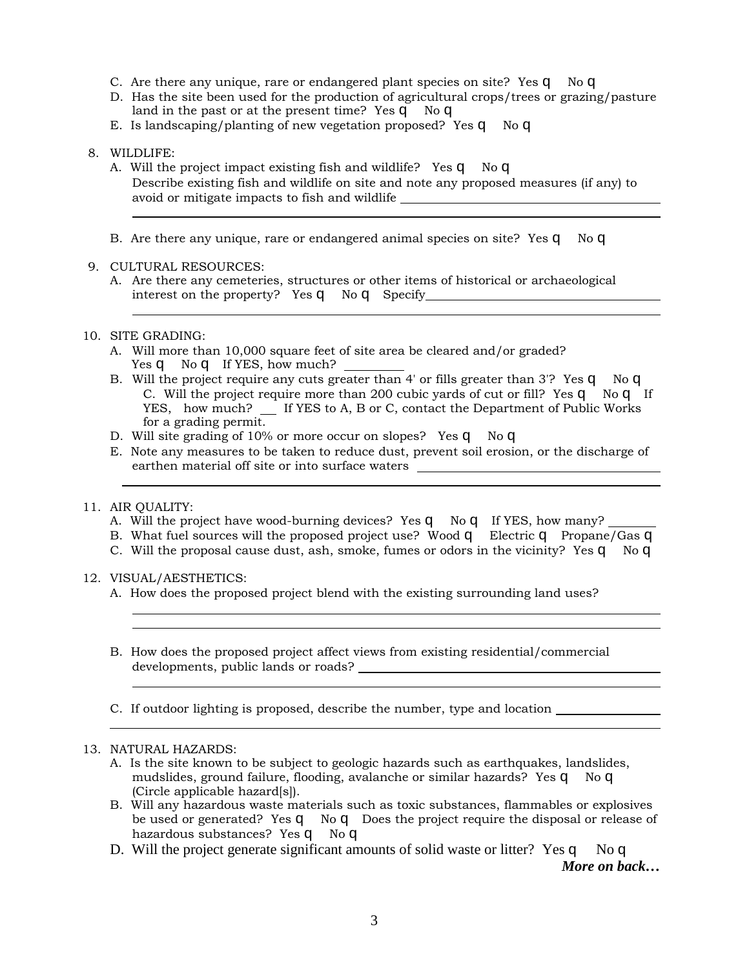- C. Are there any unique, rare or endangered plant species on site? Yes q No q
- D. Has the site been used for the production of agricultural crops/trees or grazing/pasture land in the past or at the present time? Yes q No q
- E. Is landscaping/planting of new vegetation proposed? Yes q No q

### 8. WILDLIFE:

- A. Will the project impact existing fish and wildlife? Yes q No q Describe existing fish and wildlife on site and note any proposed measures (if any) to avoid or mitigate impacts to fish and wildlife
- B. Are there any unique, rare or endangered animal species on site? Yes q No q

# 9. CULTURAL RESOURCES:

A. Are there any cemeteries, structures or other items of historical or archaeological interest on the property? Yes q No q Specify 1.1 and 1.1 and 1.1 and 1.1 and 1.1 and 1.1 and 1.1 and 1.1 and 1.1 and 1.1 and 1.1 and 1.1 and 1.1 and 1.1 and 1.1 and 1.1 and 1.1 and 1.1 and 1.1 and 1.1 and 1.1 and 1.1 and 1

# 10. SITE GRADING:

- A. Will more than 10,000 square feet of site area be cleared and/or graded? Yes **q** No **q** If YES, how much?
- B. Will the project require any cuts greater than 4' or fills greater than 3'? Yes q No q C. Will the project require more than 200 cubic yards of cut or fill? Yes q No q If YES, how much? If YES to A, B or C, contact the Department of Public Works for a grading permit.
- D. Will site grading of 10% or more occur on slopes? Yes q No q
- E. Note any measures to be taken to reduce dust, prevent soil erosion, or the discharge of earthen material off site or into surface waters \_\_\_\_\_\_\_\_\_\_\_\_\_\_\_\_\_\_\_\_\_\_\_\_\_\_\_\_\_\_\_

### 11. AIR QUALITY:

- A. Will the project have wood-burning devices? Yes q No q If YES, how many?
- B. What fuel sources will the proposed project use? Wood q Electric q Propane/Gas q
- C. Will the proposal cause dust, ash, smoke, fumes or odors in the vicinity? Yes  $q$  No  $q$

### 12. VISUAL/AESTHETICS:

- A. How does the proposed project blend with the existing surrounding land uses?
- B. How does the proposed project affect views from existing residential/commercial developments, public lands or roads?
- C. If outdoor lighting is proposed, describe the number, type and location

### 13. NATURAL HAZARDS:

- A. Is the site known to be subject to geologic hazards such as earthquakes, landslides, mudslides, ground failure, flooding, avalanche or similar hazards? Yes q No q (Circle applicable hazard[s]).
- B. Will any hazardous waste materials such as toxic substances, flammables or explosives be used or generated? Yes q No q Does the project require the disposal or release of hazardous substances? Yes q No q
- D. Will the project generate significant amounts of solid waste or litter? Yes q No q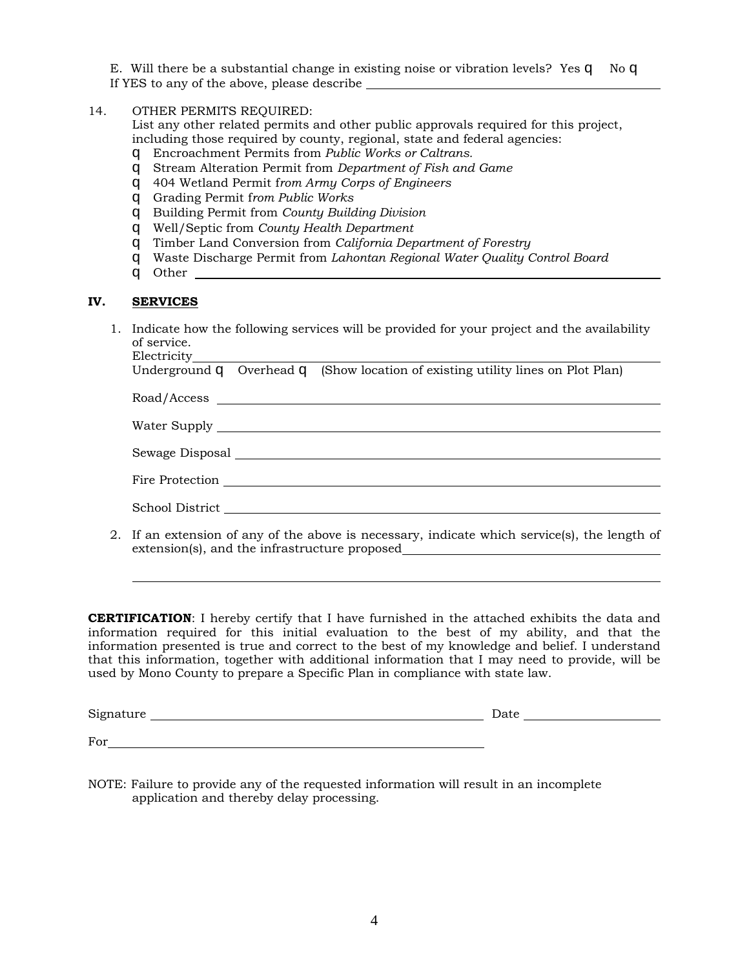E. Will there be a substantial change in existing noise or vibration levels? Yes q No q If YES to any of the above, please describe

14. OTHER PERMITS REQUIRED:

List any other related permits and other public approvals required for this project, including those required by county, regional, state and federal agencies:

- q Encroachment Permits from *Public Works or Caltrans.*
- q Stream Alteration Permit from *Department of Fish and Game*
- q 404 Wetland Permit f*rom Army Corps of Engineers*
- q Grading Permit f*rom Public Works*
- q Building Permit from *County Building Division*
- q Well/Septic from *County Health Department*
- q Timber Land Conversion from *California Department of Forestry*
- q Waste Discharge Permit from *Lahontan Regional Water Quality Control Board*
- q Other

#### **IV. SERVICES**

1. Indicate how the following services will be provided for your project and the availability of service.  $E1$ cotricity

|  | Underground <b>q</b> Overhead <b>q</b> (Show location of existing utility lines on Plot Plan)                                                                                                                                  |
|--|--------------------------------------------------------------------------------------------------------------------------------------------------------------------------------------------------------------------------------|
|  |                                                                                                                                                                                                                                |
|  | Road/Access Latin Contract Contract Contract Contract Contract Contract Contract Contract Contract Contract Contract Contract Contract Contract Contract Contract Contract Contract Contract Contract Contract Contract Contra |
|  |                                                                                                                                                                                                                                |
|  |                                                                                                                                                                                                                                |
|  |                                                                                                                                                                                                                                |
|  |                                                                                                                                                                                                                                |
|  |                                                                                                                                                                                                                                |
|  | If an extension of any of the above is necessary, indicate which service(s), the length of                                                                                                                                     |

2. If an extension of any of the above is necessary, indicate which service(s), the length of extension(s), and the infrastructure proposed

**CERTIFICATION**: I hereby certify that I have furnished in the attached exhibits the data and information required for this initial evaluation to the best of my ability, and that the information presented is true and correct to the best of my knowledge and belief. I understand that this information, together with additional information that I may need to provide, will be used by Mono County to prepare a Specific Plan in compliance with state law.

| $\sim$<br>S1gr<br>nature | Date<br>$ -$ |  |
|--------------------------|--------------|--|
|                          |              |  |

For the state of the state of the state of the state of the state of the state of the state of the state of the state of the state of the state of the state of the state of the state of the state of the state of the state

NOTE: Failure to provide any of the requested information will result in an incomplete application and thereby delay processing.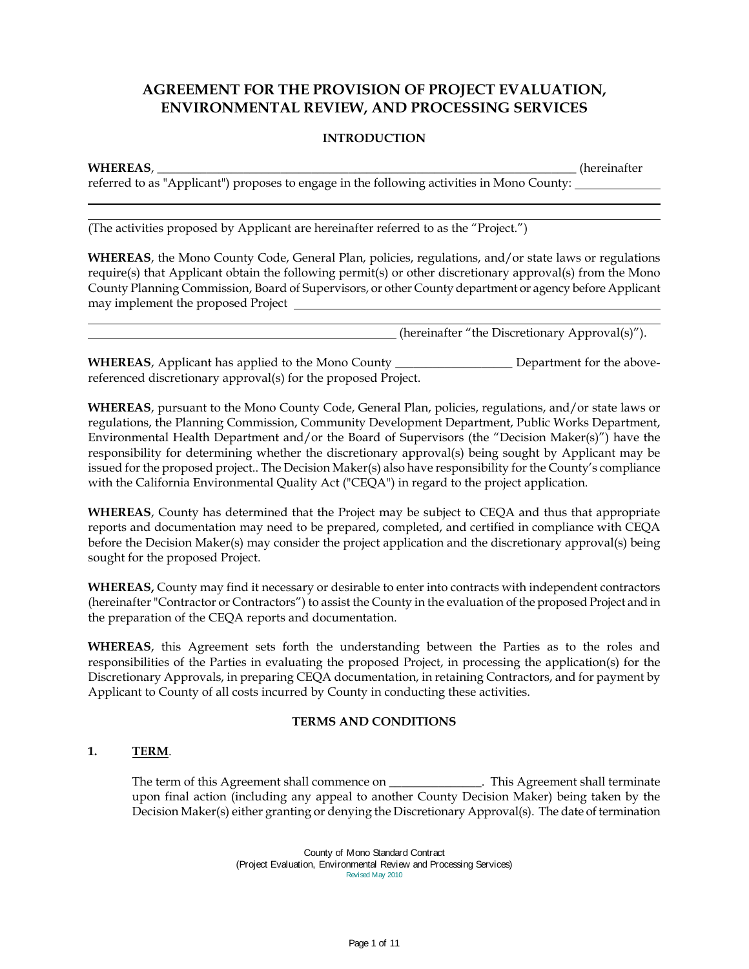# **AGREEMENT FOR THE PROVISION OF PROJECT EVALUATION, ENVIRONMENTAL REVIEW, AND PROCESSING SERVICES**

# **INTRODUCTION**

#### **WHEREAS**, \_\_\_\_\_\_\_\_\_\_\_\_\_\_\_\_\_\_\_\_\_\_\_\_\_\_\_\_\_\_\_\_\_\_\_\_\_\_\_\_\_\_\_\_\_\_\_\_\_\_\_\_\_\_\_\_\_\_\_\_\_\_\_\_\_\_\_\_ (hereinafter

referred to as "Applicant") proposes to engage in the following activities in Mono County:

(The activities proposed by Applicant are hereinafter referred to as the "Project.")

**WHEREAS**, the Mono County Code, General Plan, policies, regulations, and/or state laws or regulations require(s) that Applicant obtain the following permit(s) or other discretionary approval(s) from the Mono County Planning Commission, Board of Supervisors, or other County department or agency before Applicant may implement the proposed Project

(hereinafter "the Discretionary Approval(s)").

**WHEREAS**, Applicant has applied to the Mono County \_\_\_\_\_\_\_\_\_\_\_\_\_\_\_\_\_\_\_ Department for the abovereferenced discretionary approval(s) for the proposed Project.

**WHEREAS**, pursuant to the Mono County Code, General Plan, policies, regulations, and/or state laws or regulations, the Planning Commission, Community Development Department, Public Works Department, Environmental Health Department and/or the Board of Supervisors (the "Decision Maker(s)") have the responsibility for determining whether the discretionary approval(s) being sought by Applicant may be issued for the proposed project.. The Decision Maker(s) also have responsibility for the County's compliance with the California Environmental Quality Act ("CEQA") in regard to the project application.

**WHEREAS**, County has determined that the Project may be subject to CEQA and thus that appropriate reports and documentation may need to be prepared, completed, and certified in compliance with CEQA before the Decision Maker(s) may consider the project application and the discretionary approval(s) being sought for the proposed Project.

**WHEREAS,** County may find it necessary or desirable to enter into contracts with independent contractors (hereinafter "Contractor or Contractors") to assist the County in the evaluation of the proposed Project and in the preparation of the CEQA reports and documentation.

**WHEREAS**, this Agreement sets forth the understanding between the Parties as to the roles and responsibilities of the Parties in evaluating the proposed Project, in processing the application(s) for the Discretionary Approvals, in preparing CEQA documentation, in retaining Contractors, and for payment by Applicant to County of all costs incurred by County in conducting these activities.

### **TERMS AND CONDITIONS**

# **1. TERM**.

The term of this Agreement shall commence on \_\_\_\_\_\_\_\_\_\_\_\_\_\_. This Agreement shall terminate upon final action (including any appeal to another County Decision Maker) being taken by the Decision Maker(s) either granting or denying the Discretionary Approval(s). The date of termination

> County of Mono Standard Contract (Project Evaluation, Environmental Review and Processing Services) Revised May 2010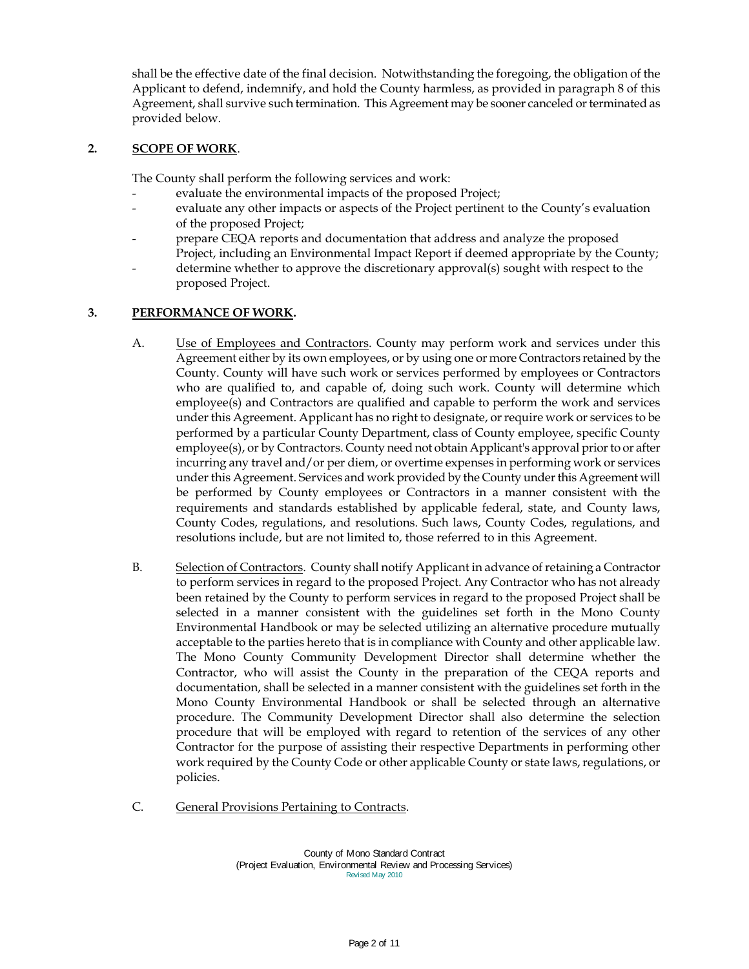shall be the effective date of the final decision. Notwithstanding the foregoing, the obligation of the Applicant to defend, indemnify, and hold the County harmless, as provided in paragraph 8 of this Agreement, shall survive such termination. This Agreement may be sooner canceled or terminated as provided below.

# **2. SCOPE OF WORK**.

The County shall perform the following services and work:

- evaluate the environmental impacts of the proposed Project;
- evaluate any other impacts or aspects of the Project pertinent to the County's evaluation of the proposed Project;
- prepare CEQA reports and documentation that address and analyze the proposed Project, including an Environmental Impact Report if deemed appropriate by the County;
- determine whether to approve the discretionary approval(s) sought with respect to the proposed Project.

# **3. PERFORMANCE OF WORK.**

- A. **Use of Employees and Contractors**. County may perform work and services under this Agreement either by its own employees, or by using one or more Contractors retained by the County. County will have such work or services performed by employees or Contractors who are qualified to, and capable of, doing such work. County will determine which employee(s) and Contractors are qualified and capable to perform the work and services under this Agreement. Applicant has no right to designate, or require work or services to be performed by a particular County Department, class of County employee, specific County employee(s), or by Contractors. County need not obtain Applicant's approval prior to or after incurring any travel and/or per diem, or overtime expenses in performing work or services under this Agreement. Services and work provided by the County under this Agreement will be performed by County employees or Contractors in a manner consistent with the requirements and standards established by applicable federal, state, and County laws, County Codes, regulations, and resolutions. Such laws, County Codes, regulations, and resolutions include, but are not limited to, those referred to in this Agreement.
- B. Selection of Contractors. County shall notify Applicant in advance of retaining a Contractor to perform services in regard to the proposed Project. Any Contractor who has not already been retained by the County to perform services in regard to the proposed Project shall be selected in a manner consistent with the guidelines set forth in the Mono County Environmental Handbook or may be selected utilizing an alternative procedure mutually acceptable to the parties hereto that is in compliance with County and other applicable law. The Mono County Community Development Director shall determine whether the Contractor, who will assist the County in the preparation of the CEQA reports and documentation, shall be selected in a manner consistent with the guidelines set forth in the Mono County Environmental Handbook or shall be selected through an alternative procedure. The Community Development Director shall also determine the selection procedure that will be employed with regard to retention of the services of any other Contractor for the purpose of assisting their respective Departments in performing other work required by the County Code or other applicable County or state laws, regulations, or policies.
- C. General Provisions Pertaining to Contracts.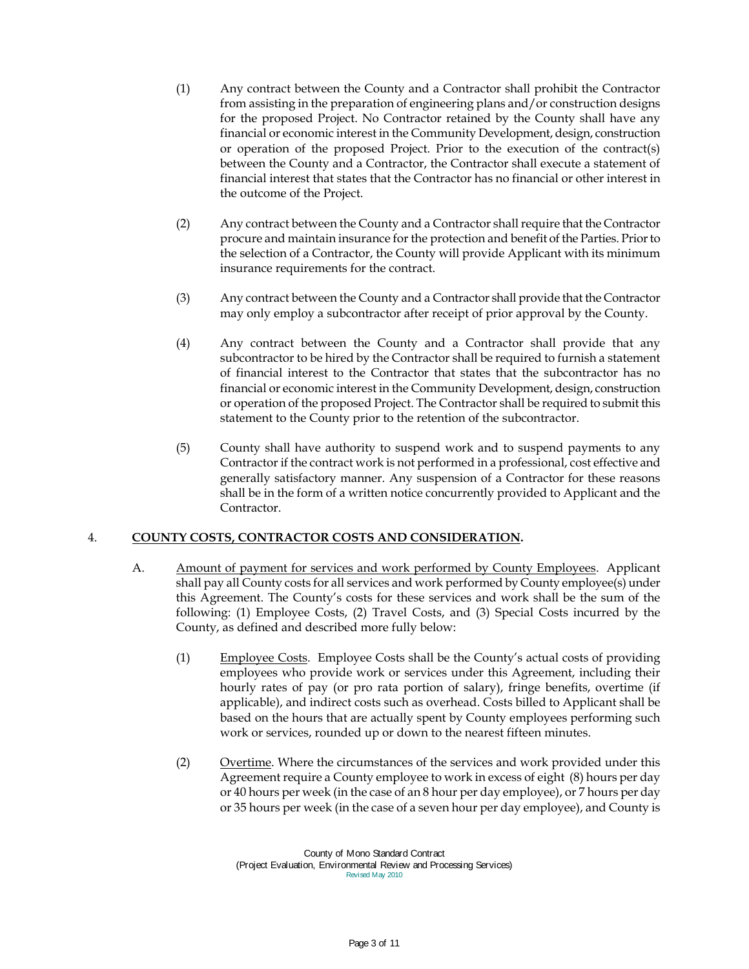- (1) Any contract between the County and a Contractor shall prohibit the Contractor from assisting in the preparation of engineering plans and/or construction designs for the proposed Project. No Contractor retained by the County shall have any financial or economic interest in the Community Development, design, construction or operation of the proposed Project. Prior to the execution of the contract(s) between the County and a Contractor, the Contractor shall execute a statement of financial interest that states that the Contractor has no financial or other interest in the outcome of the Project.
- (2) Any contract between the County and a Contractor shall require that the Contractor procure and maintain insurance for the protection and benefit of the Parties. Prior to the selection of a Contractor, the County will provide Applicant with its minimum insurance requirements for the contract.
- (3) Any contract between the County and a Contractor shall provide that the Contractor may only employ a subcontractor after receipt of prior approval by the County.
- (4) Any contract between the County and a Contractor shall provide that any subcontractor to be hired by the Contractor shall be required to furnish a statement of financial interest to the Contractor that states that the subcontractor has no financial or economic interest in the Community Development, design, construction or operation of the proposed Project. The Contractor shall be required to submit this statement to the County prior to the retention of the subcontractor.
- (5) County shall have authority to suspend work and to suspend payments to any Contractor if the contract work is not performed in a professional, cost effective and generally satisfactory manner. Any suspension of a Contractor for these reasons shall be in the form of a written notice concurrently provided to Applicant and the Contractor.

### 4. **COUNTY COSTS, CONTRACTOR COSTS AND CONSIDERATION.**

- A. Amount of payment for services and work performed by County Employees. Applicant shall pay all County costs for all services and work performed by County employee(s) under this Agreement. The County's costs for these services and work shall be the sum of the following: (1) Employee Costs, (2) Travel Costs, and (3) Special Costs incurred by the County, as defined and described more fully below:
	- (1) Employee Costs. Employee Costs shall be the County's actual costs of providing employees who provide work or services under this Agreement, including their hourly rates of pay (or pro rata portion of salary), fringe benefits, overtime (if applicable), and indirect costs such as overhead. Costs billed to Applicant shall be based on the hours that are actually spent by County employees performing such work or services, rounded up or down to the nearest fifteen minutes.
	- (2) Overtime. Where the circumstances of the services and work provided under this Agreement require a County employee to work in excess of eight (8) hours per day or 40 hours per week (in the case of an 8 hour per day employee), or 7 hours per day or 35 hours per week (in the case of a seven hour per day employee), and County is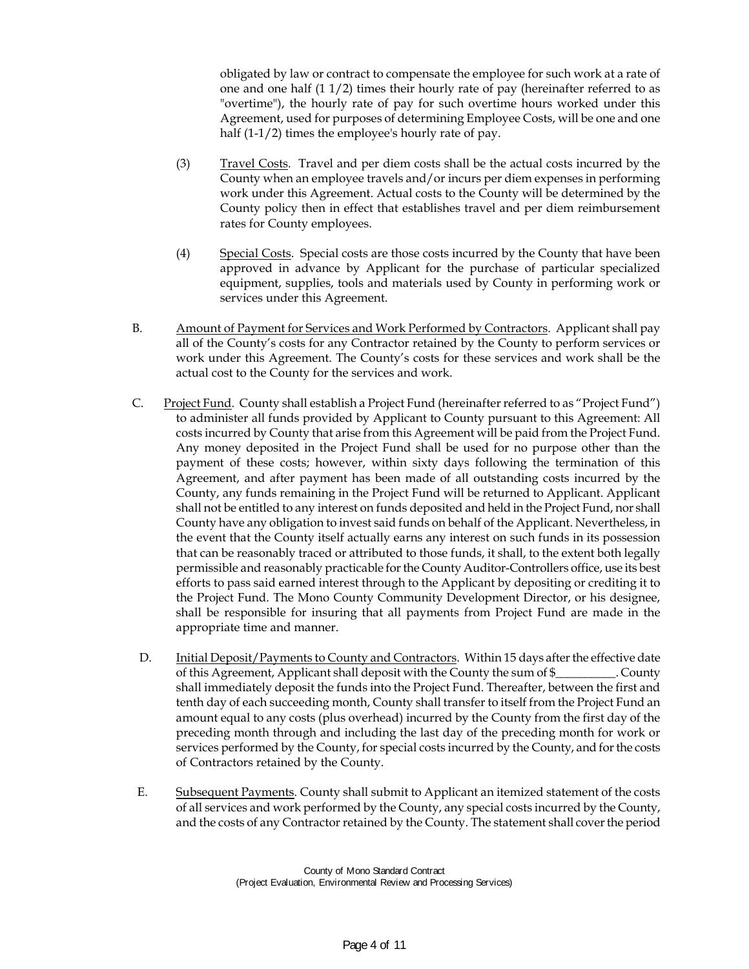obligated by law or contract to compensate the employee for such work at a rate of one and one half (1 1/2) times their hourly rate of pay (hereinafter referred to as "overtime"), the hourly rate of pay for such overtime hours worked under this Agreement, used for purposes of determining Employee Costs, will be one and one half (1-1/2) times the employee's hourly rate of pay.

- (3) Travel Costs. Travel and per diem costs shall be the actual costs incurred by the County when an employee travels and/or incurs per diem expenses in performing work under this Agreement. Actual costs to the County will be determined by the County policy then in effect that establishes travel and per diem reimbursement rates for County employees.
- (4) Special Costs. Special costs are those costs incurred by the County that have been approved in advance by Applicant for the purchase of particular specialized equipment, supplies, tools and materials used by County in performing work or services under this Agreement.
- B. Amount of Payment for Services and Work Performed by Contractors. Applicant shall pay all of the County's costs for any Contractor retained by the County to perform services or work under this Agreement. The County's costs for these services and work shall be the actual cost to the County for the services and work.
- C. Project Fund. County shall establish a Project Fund (hereinafter referred to as "Project Fund") to administer all funds provided by Applicant to County pursuant to this Agreement: All costs incurred by County that arise from this Agreement will be paid from the Project Fund. Any money deposited in the Project Fund shall be used for no purpose other than the payment of these costs; however, within sixty days following the termination of this Agreement, and after payment has been made of all outstanding costs incurred by the County, any funds remaining in the Project Fund will be returned to Applicant. Applicant shall not be entitled to any interest on funds deposited and held in the Project Fund, nor shall County have any obligation to invest said funds on behalf of the Applicant. Nevertheless, in the event that the County itself actually earns any interest on such funds in its possession that can be reasonably traced or attributed to those funds, it shall, to the extent both legally permissible and reasonably practicable for the County Auditor-Controllers office, use its best efforts to pass said earned interest through to the Applicant by depositing or crediting it to the Project Fund. The Mono County Community Development Director, or his designee, shall be responsible for insuring that all payments from Project Fund are made in the appropriate time and manner.
- D. Initial Deposit/Payments to County and Contractors. Within 15 days after the effective date of this Agreement, Applicant shall deposit with the County the sum of \$\_\_\_\_\_\_\_\_\_\_. County shall immediately deposit the funds into the Project Fund. Thereafter, between the first and tenth day of each succeeding month, County shall transfer to itself from the Project Fund an amount equal to any costs (plus overhead) incurred by the County from the first day of the preceding month through and including the last day of the preceding month for work or services performed by the County, for special costs incurred by the County, and for the costs of Contractors retained by the County.
- E. Subsequent Payments. County shall submit to Applicant an itemized statement of the costs of all services and work performed by the County, any special costs incurred by the County, and the costs of any Contractor retained by the County. The statement shall cover the period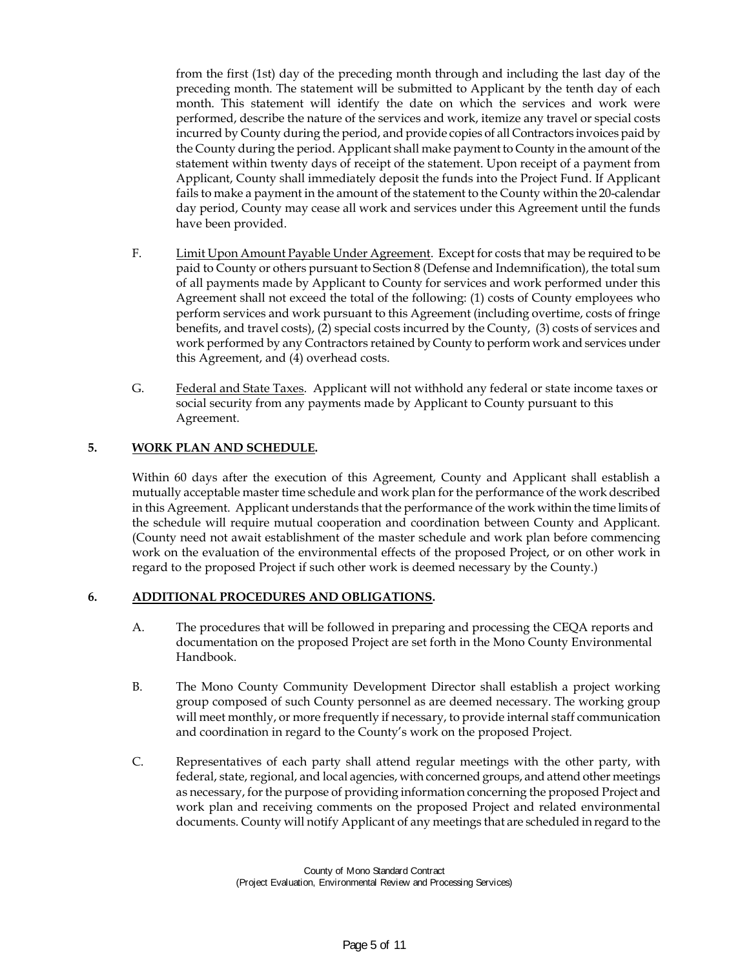from the first (1st) day of the preceding month through and including the last day of the preceding month. The statement will be submitted to Applicant by the tenth day of each month. This statement will identify the date on which the services and work were performed, describe the nature of the services and work, itemize any travel or special costs incurred by County during the period, and provide copies of all Contractors invoices paid by the County during the period. Applicant shall make payment to County in the amount of the statement within twenty days of receipt of the statement. Upon receipt of a payment from Applicant, County shall immediately deposit the funds into the Project Fund. If Applicant fails to make a payment in the amount of the statement to the County within the 20-calendar day period, County may cease all work and services under this Agreement until the funds have been provided.

- F. Limit Upon Amount Payable Under Agreement. Except for costs that may be required to be paid to County or others pursuant to Section 8 (Defense and Indemnification), the total sum of all payments made by Applicant to County for services and work performed under this Agreement shall not exceed the total of the following: (1) costs of County employees who perform services and work pursuant to this Agreement (including overtime, costs of fringe benefits, and travel costs), (2) special costs incurred by the County, (3) costs of services and work performed by any Contractors retained by County to perform work and services under this Agreement, and (4) overhead costs.
- G. Federal and State Taxes. Applicant will not withhold any federal or state income taxes or social security from any payments made by Applicant to County pursuant to this Agreement.

# **5. WORK PLAN AND SCHEDULE.**

Within 60 days after the execution of this Agreement, County and Applicant shall establish a mutually acceptable master time schedule and work plan for the performance of the work described in this Agreement. Applicant understands that the performance of the work within the time limits of the schedule will require mutual cooperation and coordination between County and Applicant. (County need not await establishment of the master schedule and work plan before commencing work on the evaluation of the environmental effects of the proposed Project, or on other work in regard to the proposed Project if such other work is deemed necessary by the County.)

### **6. ADDITIONAL PROCEDURES AND OBLIGATIONS.**

- A. The procedures that will be followed in preparing and processing the CEQA reports and documentation on the proposed Project are set forth in the Mono County Environmental Handbook.
- B. The Mono County Community Development Director shall establish a project working group composed of such County personnel as are deemed necessary. The working group will meet monthly, or more frequently if necessary, to provide internal staff communication and coordination in regard to the County's work on the proposed Project.
- C. Representatives of each party shall attend regular meetings with the other party, with federal, state, regional, and local agencies, with concerned groups, and attend other meetings as necessary, for the purpose of providing information concerning the proposed Project and work plan and receiving comments on the proposed Project and related environmental documents. County will notify Applicant of any meetings that are scheduled in regard to the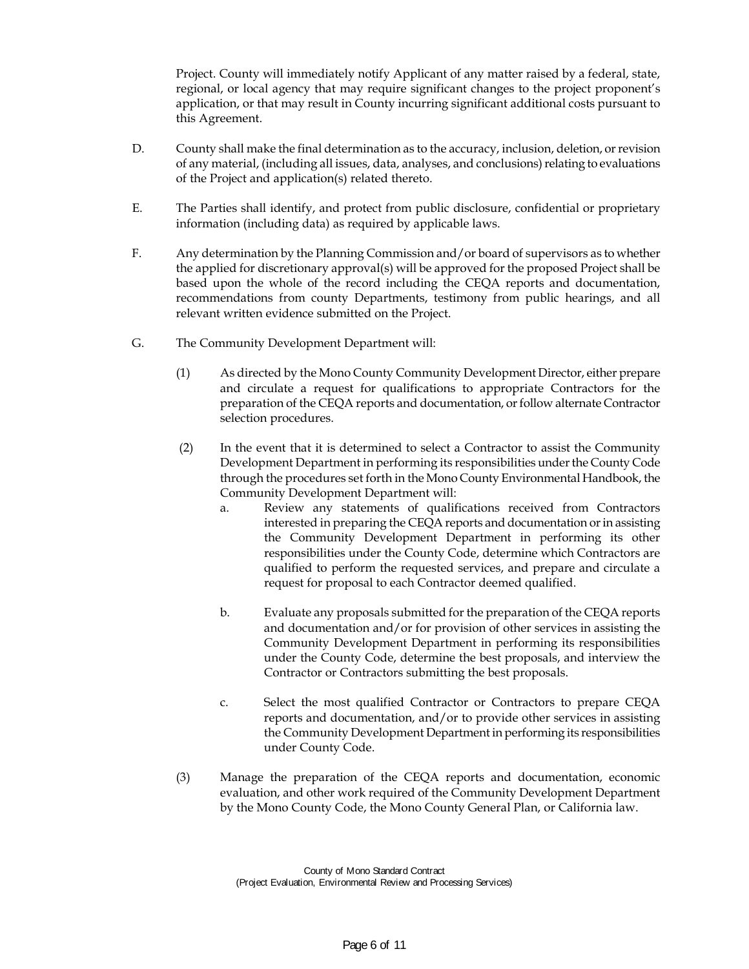Project. County will immediately notify Applicant of any matter raised by a federal, state, regional, or local agency that may require significant changes to the project proponent's application, or that may result in County incurring significant additional costs pursuant to this Agreement.

- D. County shall make the final determination as to the accuracy, inclusion, deletion, or revision of any material, (including all issues, data, analyses, and conclusions) relating to evaluations of the Project and application(s) related thereto.
- E. The Parties shall identify, and protect from public disclosure, confidential or proprietary information (including data) as required by applicable laws.
- F. Any determination by the Planning Commission and/or board of supervisors as to whether the applied for discretionary approval(s) will be approved for the proposed Project shall be based upon the whole of the record including the CEQA reports and documentation, recommendations from county Departments, testimony from public hearings, and all relevant written evidence submitted on the Project.
- G. The Community Development Department will:
	- (1) As directed by the Mono County Community Development Director, either prepare and circulate a request for qualifications to appropriate Contractors for the preparation of the CEQA reports and documentation, or follow alternate Contractor selection procedures.
	- (2) In the event that it is determined to select a Contractor to assist the Community Development Department in performing its responsibilities under the County Code through the procedures set forth in the Mono County Environmental Handbook, the Community Development Department will:
		- a. Review any statements of qualifications received from Contractors interested in preparing the CEQA reports and documentation or in assisting the Community Development Department in performing its other responsibilities under the County Code, determine which Contractors are qualified to perform the requested services, and prepare and circulate a request for proposal to each Contractor deemed qualified.
		- b. Evaluate any proposals submitted for the preparation of the CEQA reports and documentation and/or for provision of other services in assisting the Community Development Department in performing its responsibilities under the County Code, determine the best proposals, and interview the Contractor or Contractors submitting the best proposals.
		- c. Select the most qualified Contractor or Contractors to prepare CEQA reports and documentation, and/or to provide other services in assisting the Community Development Department in performing its responsibilities under County Code.
	- (3) Manage the preparation of the CEQA reports and documentation, economic evaluation, and other work required of the Community Development Department by the Mono County Code, the Mono County General Plan, or California law.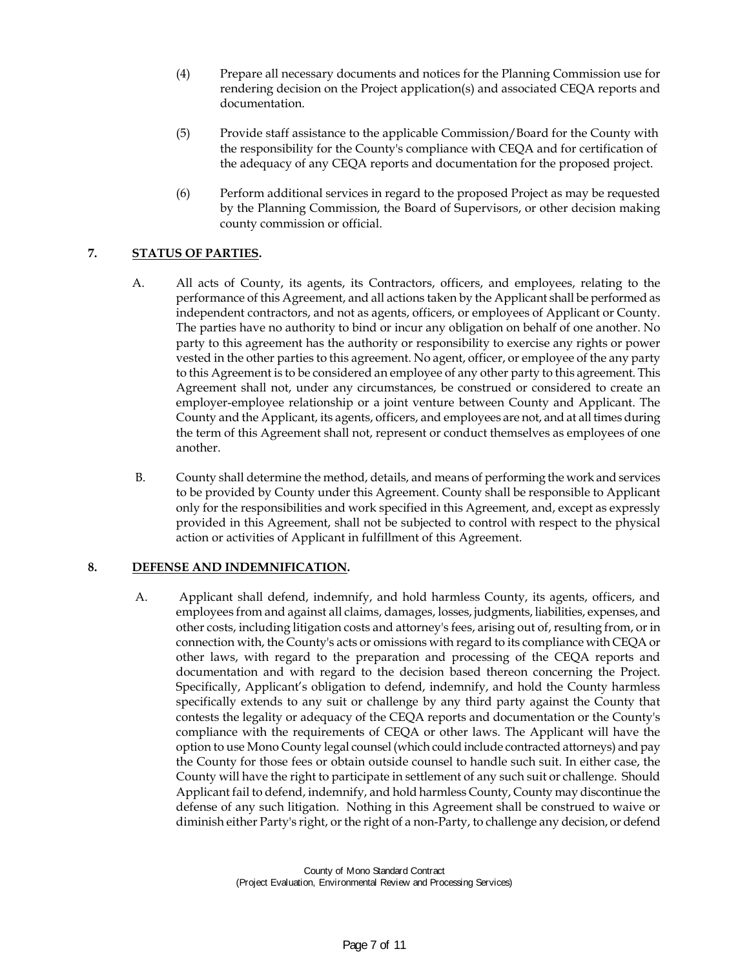- (4) Prepare all necessary documents and notices for the Planning Commission use for rendering decision on the Project application(s) and associated CEQA reports and documentation.
- (5) Provide staff assistance to the applicable Commission/Board for the County with the responsibility for the County's compliance with CEQA and for certification of the adequacy of any CEQA reports and documentation for the proposed project.
- (6) Perform additional services in regard to the proposed Project as may be requested by the Planning Commission, the Board of Supervisors, or other decision making county commission or official.

# **7. STATUS OF PARTIES.**

- A. All acts of County, its agents, its Contractors, officers, and employees, relating to the performance of this Agreement, and all actions taken by the Applicant shall be performed as independent contractors, and not as agents, officers, or employees of Applicant or County. The parties have no authority to bind or incur any obligation on behalf of one another. No party to this agreement has the authority or responsibility to exercise any rights or power vested in the other parties to this agreement. No agent, officer, or employee of the any party to this Agreement is to be considered an employee of any other party to this agreement. This Agreement shall not, under any circumstances, be construed or considered to create an employer-employee relationship or a joint venture between County and Applicant. The County and the Applicant, its agents, officers, and employees are not, and at all times during the term of this Agreement shall not, represent or conduct themselves as employees of one another.
- B. County shall determine the method, details, and means of performing the work and services to be provided by County under this Agreement. County shall be responsible to Applicant only for the responsibilities and work specified in this Agreement, and, except as expressly provided in this Agreement, shall not be subjected to control with respect to the physical action or activities of Applicant in fulfillment of this Agreement.

# **8. DEFENSE AND INDEMNIFICATION.**

A. Applicant shall defend, indemnify, and hold harmless County, its agents, officers, and employees from and against all claims, damages, losses, judgments, liabilities, expenses, and other costs, including litigation costs and attorney's fees, arising out of, resulting from, or in connection with, the County's acts or omissions with regard to its compliance with CEQA or other laws, with regard to the preparation and processing of the CEQA reports and documentation and with regard to the decision based thereon concerning the Project. Specifically, Applicant's obligation to defend, indemnify, and hold the County harmless specifically extends to any suit or challenge by any third party against the County that contests the legality or adequacy of the CEQA reports and documentation or the County's compliance with the requirements of CEQA or other laws. The Applicant will have the option to use Mono County legal counsel (which could include contracted attorneys) and pay the County for those fees or obtain outside counsel to handle such suit. In either case, the County will have the right to participate in settlement of any such suit or challenge. Should Applicant fail to defend, indemnify, and hold harmless County, County may discontinue the defense of any such litigation. Nothing in this Agreement shall be construed to waive or diminish either Party's right, or the right of a non-Party, to challenge any decision, or defend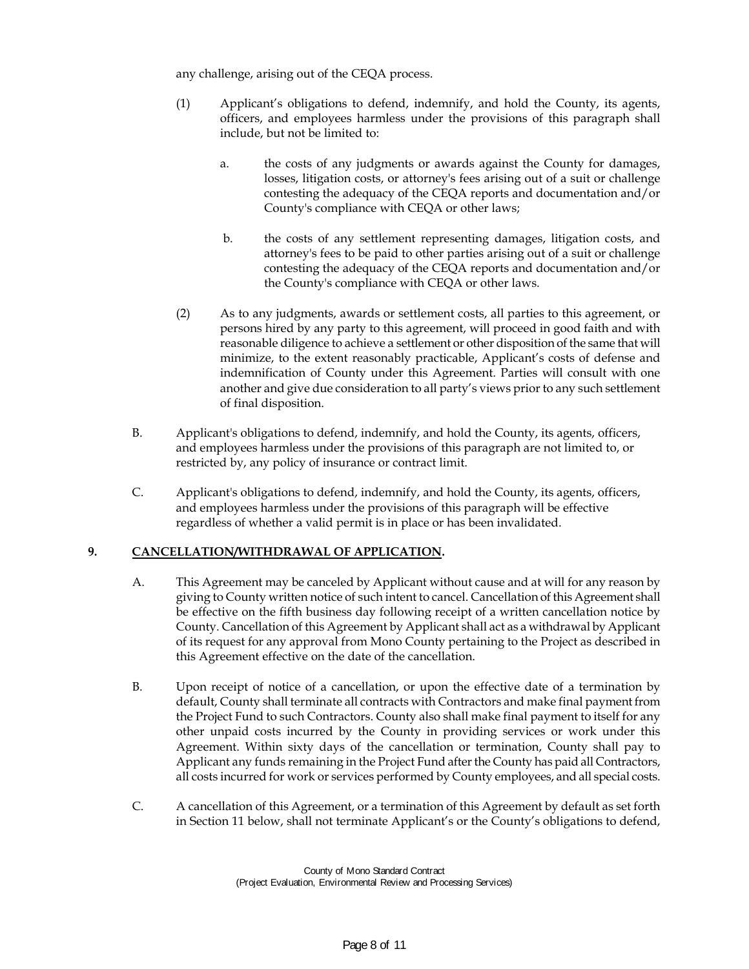any challenge, arising out of the CEQA process.

- (1) Applicant's obligations to defend, indemnify, and hold the County, its agents, officers, and employees harmless under the provisions of this paragraph shall include, but not be limited to:
	- a. the costs of any judgments or awards against the County for damages, losses, litigation costs, or attorney's fees arising out of a suit or challenge contesting the adequacy of the CEQA reports and documentation and/or County's compliance with CEQA or other laws;
	- b. the costs of any settlement representing damages, litigation costs, and attorney's fees to be paid to other parties arising out of a suit or challenge contesting the adequacy of the CEQA reports and documentation and/or the County's compliance with CEQA or other laws.
- (2) As to any judgments, awards or settlement costs, all parties to this agreement, or persons hired by any party to this agreement, will proceed in good faith and with reasonable diligence to achieve a settlement or other disposition of the same that will minimize, to the extent reasonably practicable, Applicant's costs of defense and indemnification of County under this Agreement. Parties will consult with one another and give due consideration to all party's views prior to any such settlement of final disposition.
- B. Applicant's obligations to defend, indemnify, and hold the County, its agents, officers, and employees harmless under the provisions of this paragraph are not limited to, or restricted by, any policy of insurance or contract limit.
- C. Applicant's obligations to defend, indemnify, and hold the County, its agents, officers, and employees harmless under the provisions of this paragraph will be effective regardless of whether a valid permit is in place or has been invalidated.

# **9. CANCELLATION/WITHDRAWAL OF APPLICATION.**

- A. This Agreement may be canceled by Applicant without cause and at will for any reason by giving to County written notice of such intent to cancel. Cancellation of this Agreement shall be effective on the fifth business day following receipt of a written cancellation notice by County. Cancellation of this Agreement by Applicant shall act as a withdrawal by Applicant of its request for any approval from Mono County pertaining to the Project as described in this Agreement effective on the date of the cancellation.
- B. Upon receipt of notice of a cancellation, or upon the effective date of a termination by default, County shall terminate all contracts with Contractors and make final payment from the Project Fund to such Contractors. County also shall make final payment to itself for any other unpaid costs incurred by the County in providing services or work under this Agreement. Within sixty days of the cancellation or termination, County shall pay to Applicant any funds remaining in the Project Fund after the County has paid all Contractors, all costs incurred for work or services performed by County employees, and all special costs.
- C. A cancellation of this Agreement, or a termination of this Agreement by default as set forth in Section 11 below, shall not terminate Applicant's or the County's obligations to defend,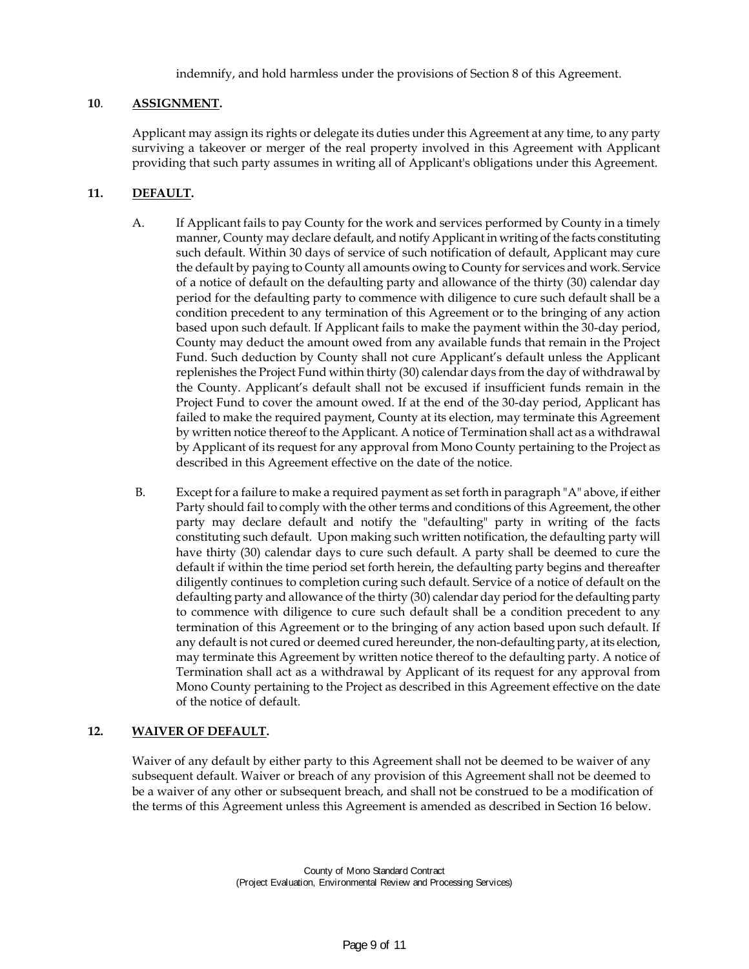indemnify, and hold harmless under the provisions of Section 8 of this Agreement.

# **10**. **ASSIGNMENT.**

Applicant may assign its rights or delegate its duties under this Agreement at any time, to any party surviving a takeover or merger of the real property involved in this Agreement with Applicant providing that such party assumes in writing all of Applicant's obligations under this Agreement.

# **11. DEFAULT.**

- A. If Applicant fails to pay County for the work and services performed by County in a timely manner, County may declare default, and notify Applicant in writing of the facts constituting such default. Within 30 days of service of such notification of default, Applicant may cure the default by paying to County all amounts owing to County for services and work. Service of a notice of default on the defaulting party and allowance of the thirty (30) calendar day period for the defaulting party to commence with diligence to cure such default shall be a condition precedent to any termination of this Agreement or to the bringing of any action based upon such default. If Applicant fails to make the payment within the 30-day period, County may deduct the amount owed from any available funds that remain in the Project Fund. Such deduction by County shall not cure Applicant's default unless the Applicant replenishes the Project Fund within thirty (30) calendar days from the day of withdrawal by the County. Applicant's default shall not be excused if insufficient funds remain in the Project Fund to cover the amount owed. If at the end of the 30-day period, Applicant has failed to make the required payment, County at its election, may terminate this Agreement by written notice thereof to the Applicant. A notice of Termination shall act as a withdrawal by Applicant of its request for any approval from Mono County pertaining to the Project as described in this Agreement effective on the date of the notice.
- B. Except for a failure to make a required payment as set forth in paragraph "A" above, if either Party should fail to comply with the other terms and conditions of this Agreement, the other party may declare default and notify the "defaulting" party in writing of the facts constituting such default. Upon making such written notification, the defaulting party will have thirty (30) calendar days to cure such default. A party shall be deemed to cure the default if within the time period set forth herein, the defaulting party begins and thereafter diligently continues to completion curing such default. Service of a notice of default on the defaulting party and allowance of the thirty (30) calendar day period for the defaulting party to commence with diligence to cure such default shall be a condition precedent to any termination of this Agreement or to the bringing of any action based upon such default. If any default is not cured or deemed cured hereunder, the non-defaulting party, at its election, may terminate this Agreement by written notice thereof to the defaulting party. A notice of Termination shall act as a withdrawal by Applicant of its request for any approval from Mono County pertaining to the Project as described in this Agreement effective on the date of the notice of default.

# **12. WAIVER OF DEFAULT.**

Waiver of any default by either party to this Agreement shall not be deemed to be waiver of any subsequent default. Waiver or breach of any provision of this Agreement shall not be deemed to be a waiver of any other or subsequent breach, and shall not be construed to be a modification of the terms of this Agreement unless this Agreement is amended as described in Section 16 below.

> County of Mono Standard Contract (Project Evaluation, Environmental Review and Processing Services)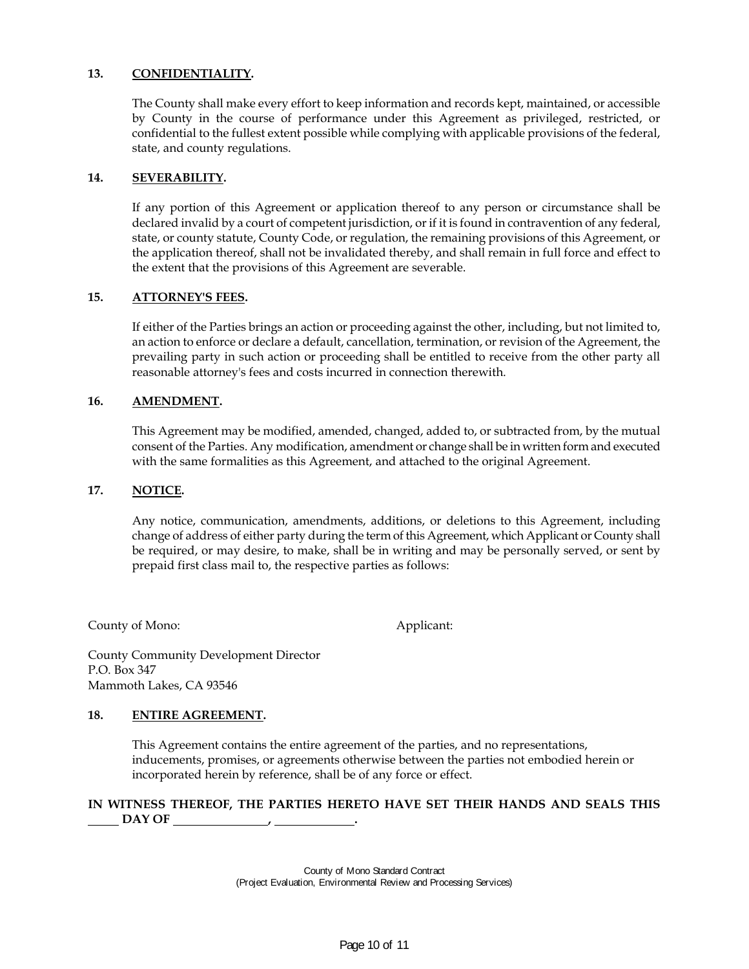# **13. CONFIDENTIALITY.**

The County shall make every effort to keep information and records kept, maintained, or accessible by County in the course of performance under this Agreement as privileged, restricted, or confidential to the fullest extent possible while complying with applicable provisions of the federal, state, and county regulations.

### **14. SEVERABILITY.**

If any portion of this Agreement or application thereof to any person or circumstance shall be declared invalid by a court of competent jurisdiction, or if it is found in contravention of any federal, state, or county statute, County Code, or regulation, the remaining provisions of this Agreement, or the application thereof, shall not be invalidated thereby, and shall remain in full force and effect to the extent that the provisions of this Agreement are severable.

### **15. ATTORNEY'S FEES.**

If either of the Parties brings an action or proceeding against the other, including, but not limited to, an action to enforce or declare a default, cancellation, termination, or revision of the Agreement, the prevailing party in such action or proceeding shall be entitled to receive from the other party all reasonable attorney's fees and costs incurred in connection therewith.

#### **16. AMENDMENT.**

This Agreement may be modified, amended, changed, added to, or subtracted from, by the mutual consent of the Parties. Any modification, amendment or change shall be in written form and executed with the same formalities as this Agreement, and attached to the original Agreement.

#### **17. NOTICE.**

Any notice, communication, amendments, additions, or deletions to this Agreement, including change of address of either party during the term of this Agreement, which Applicant or County shall be required, or may desire, to make, shall be in writing and may be personally served, or sent by prepaid first class mail to, the respective parties as follows:

County of Mono: Applicant:

County Community Development Director P.O. Box 347 Mammoth Lakes, CA 93546

# **18. ENTIRE AGREEMENT.**

This Agreement contains the entire agreement of the parties, and no representations, inducements, promises, or agreements otherwise between the parties not embodied herein or incorporated herein by reference, shall be of any force or effect.

# **IN WITNESS THEREOF, THE PARTIES HERETO HAVE SET THEIR HANDS AND SEALS THIS DAY OF**

County of Mono Standard Contract (Project Evaluation, Environmental Review and Processing Services)